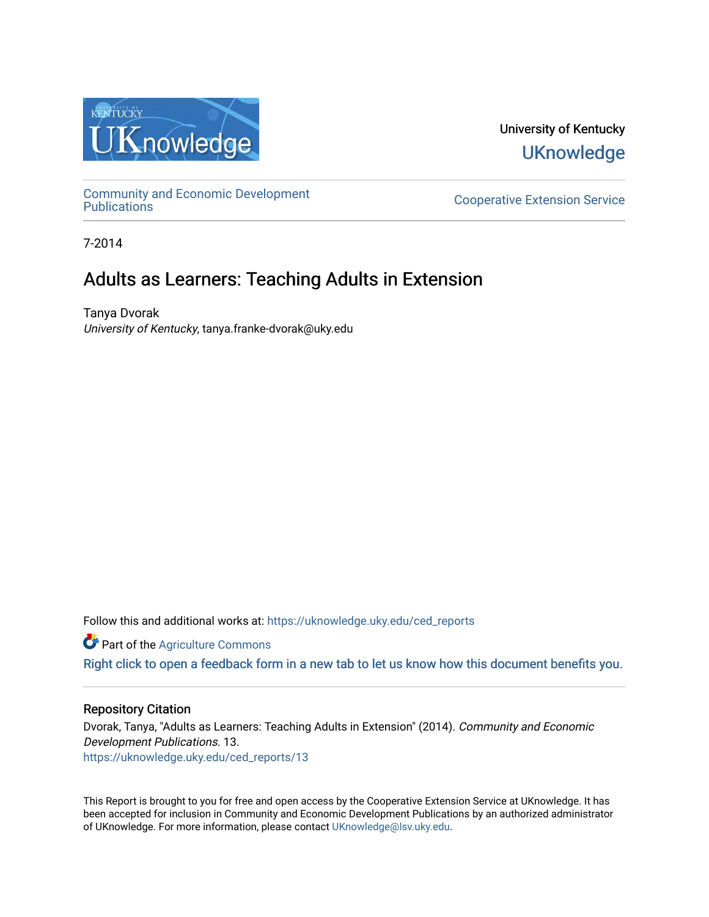

University of Kentucky **UKnowledge** 

[Community and Economic Development](https://uknowledge.uky.edu/ced_reports) 

**Cooperative Extension Service** 

7-2014

## Adults as Learners: Teaching Adults in Extension

Tanya Dvorak University of Kentucky, tanya.franke-dvorak@uky.edu

Follow this and additional works at: [https://uknowledge.uky.edu/ced\\_reports](https://uknowledge.uky.edu/ced_reports?utm_source=uknowledge.uky.edu%2Fced_reports%2F13&utm_medium=PDF&utm_campaign=PDFCoverPages)

**C** Part of the [Agriculture Commons](http://network.bepress.com/hgg/discipline/1076?utm_source=uknowledge.uky.edu%2Fced_reports%2F13&utm_medium=PDF&utm_campaign=PDFCoverPages)

[Right click to open a feedback form in a new tab to let us know how this document benefits you.](https://uky.az1.qualtrics.com/jfe/form/SV_9mq8fx2GnONRfz7)

#### Repository Citation

Dvorak, Tanya, "Adults as Learners: Teaching Adults in Extension" (2014). Community and Economic Development Publications. 13. [https://uknowledge.uky.edu/ced\\_reports/13](https://uknowledge.uky.edu/ced_reports/13?utm_source=uknowledge.uky.edu%2Fced_reports%2F13&utm_medium=PDF&utm_campaign=PDFCoverPages) 

This Report is brought to you for free and open access by the Cooperative Extension Service at UKnowledge. It has been accepted for inclusion in Community and Economic Development Publications by an authorized administrator of UKnowledge. For more information, please contact [UKnowledge@lsv.uky.edu.](mailto:UKnowledge@lsv.uky.edu)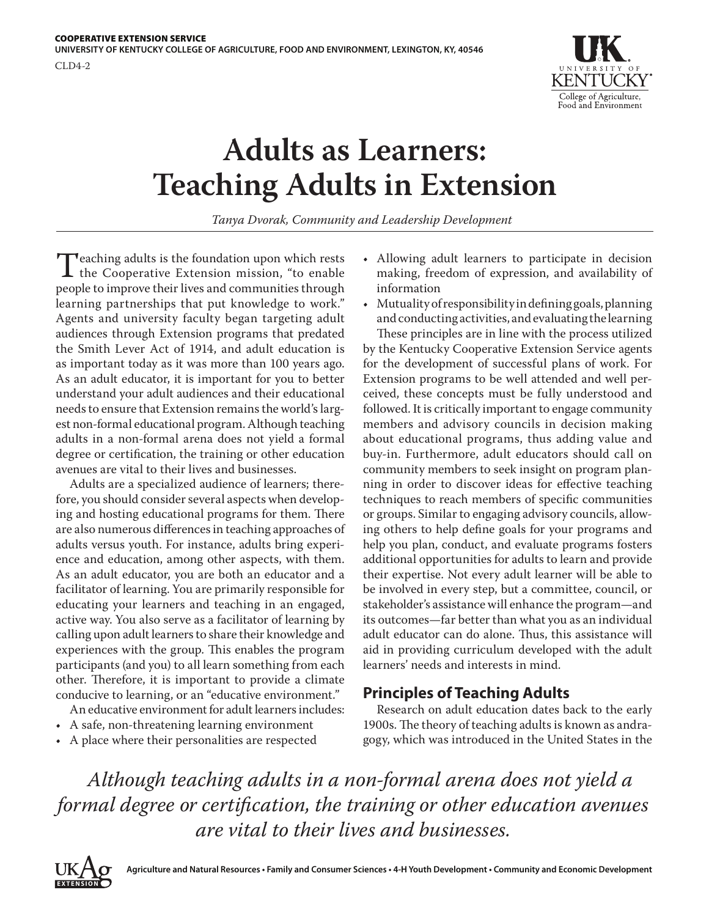

# **Adults as Learners: Teaching Adults in Extension**

*Tanya Dvorak, Community and Leadership Development*

Teaching adults is the foundation upon which rests<br>the Cooperative Extension mission, "to enable<br>people to improve their lives and communities through people to improve their lives and communities through learning partnerships that put knowledge to work." Agents and university faculty began targeting adult audiences through Extension programs that predated the Smith Lever Act of 1914, and adult education is as important today as it was more than 100 years ago. As an adult educator, it is important for you to better understand your adult audiences and their educational needs to ensure that Extension remains the world's largest non-formal educational program. Although teaching adults in a non-formal arena does not yield a formal degree or certification, the training or other education avenues are vital to their lives and businesses.

Adults are a specialized audience of learners; therefore, you should consider several aspects when developing and hosting educational programs for them. There are also numerous differences in teaching approaches of adults versus youth. For instance, adults bring experience and education, among other aspects, with them. As an adult educator, you are both an educator and a facilitator of learning. You are primarily responsible for educating your learners and teaching in an engaged, active way. You also serve as a facilitator of learning by calling upon adult learners to share their knowledge and experiences with the group. This enables the program participants (and you) to all learn something from each other. Therefore, it is important to provide a climate conducive to learning, or an "educative environment."

An educative environment for adult learners includes:

- A safe, non-threatening learning environment
- A place where their personalities are respected
- Allowing adult learners to participate in decision making, freedom of expression, and availability of information
- Mutuality of responsibility in defining goals, planning and conducting activities, and evaluating the learning

These principles are in line with the process utilized by the Kentucky Cooperative Extension Service agents for the development of successful plans of work. For Extension programs to be well attended and well perceived, these concepts must be fully understood and followed. It is critically important to engage community members and advisory councils in decision making about educational programs, thus adding value and buy-in. Furthermore, adult educators should call on community members to seek insight on program planning in order to discover ideas for effective teaching techniques to reach members of specific communities or groups. Similar to engaging advisory councils, allowing others to help define goals for your programs and help you plan, conduct, and evaluate programs fosters additional opportunities for adults to learn and provide their expertise. Not every adult learner will be able to be involved in every step, but a committee, council, or stakeholder's assistance will enhance the program—and its outcomes—far better than what you as an individual adult educator can do alone. Thus, this assistance will aid in providing curriculum developed with the adult learners' needs and interests in mind.

## **Principles of Teaching Adults**

Research on adult education dates back to the early 1900s. The theory of teaching adults is known as andragogy, which was introduced in the United States in the

*Although teaching adults in a non-formal arena does not yield a formal degree or certification, the training or other education avenues are vital to their lives and businesses.*

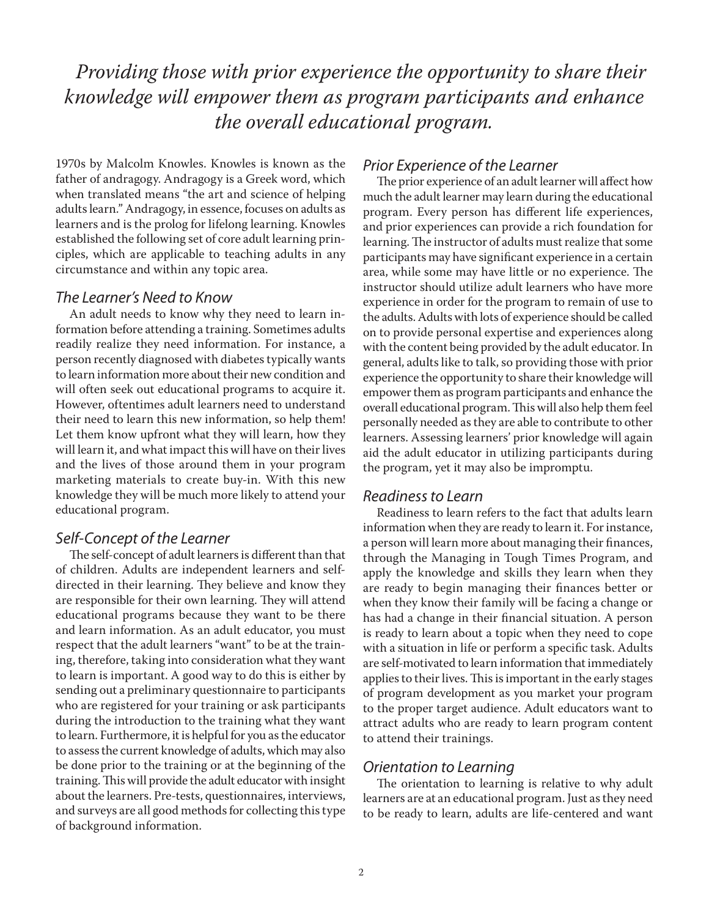# *Providing those with prior experience the opportunity to share their knowledge will empower them as program participants and enhance the overall educational program.*

1970s by Malcolm Knowles. Knowles is known as the father of andragogy. Andragogy is a Greek word, which when translated means "the art and science of helping adults learn." Andragogy, in essence, focuses on adults as learners and is the prolog for lifelong learning. Knowles established the following set of core adult learning principles, which are applicable to teaching adults in any circumstance and within any topic area.

#### *The Learner's Need to Know*

An adult needs to know why they need to learn information before attending a training. Sometimes adults readily realize they need information. For instance, a person recently diagnosed with diabetes typically wants to learn information more about their new condition and will often seek out educational programs to acquire it. However, oftentimes adult learners need to understand their need to learn this new information, so help them! Let them know upfront what they will learn, how they will learn it, and what impact this will have on their lives and the lives of those around them in your program marketing materials to create buy-in. With this new knowledge they will be much more likely to attend your educational program.

#### *Self-Concept of the Learner*

The self-concept of adult learners is different than that of children. Adults are independent learners and selfdirected in their learning. They believe and know they are responsible for their own learning. They will attend educational programs because they want to be there and learn information. As an adult educator, you must respect that the adult learners "want" to be at the training, therefore, taking into consideration what they want to learn is important. A good way to do this is either by sending out a preliminary questionnaire to participants who are registered for your training or ask participants during the introduction to the training what they want to learn. Furthermore, it is helpful for you as the educator to assess the current knowledge of adults, which may also be done prior to the training or at the beginning of the training. This will provide the adult educator with insight about the learners. Pre-tests, questionnaires, interviews, and surveys are all good methods for collecting this type of background information.

#### *Prior Experience of the Learner*

The prior experience of an adult learner will affect how much the adult learner may learn during the educational program. Every person has different life experiences, and prior experiences can provide a rich foundation for learning. The instructor of adults must realize that some participants may have significant experience in a certain area, while some may have little or no experience. The instructor should utilize adult learners who have more experience in order for the program to remain of use to the adults. Adults with lots of experience should be called on to provide personal expertise and experiences along with the content being provided by the adult educator. In general, adults like to talk, so providing those with prior experience the opportunity to share their knowledge will empower them as program participants and enhance the overall educational program. This will also help them feel personally needed as they are able to contribute to other learners. Assessing learners' prior knowledge will again aid the adult educator in utilizing participants during the program, yet it may also be impromptu.

#### *Readiness to Learn*

Readiness to learn refers to the fact that adults learn information when they are ready to learn it. For instance, a person will learn more about managing their finances, through the Managing in Tough Times Program, and apply the knowledge and skills they learn when they are ready to begin managing their finances better or when they know their family will be facing a change or has had a change in their financial situation. A person is ready to learn about a topic when they need to cope with a situation in life or perform a specific task. Adults are self-motivated to learn information that immediately applies to their lives. This is important in the early stages of program development as you market your program to the proper target audience. Adult educators want to attract adults who are ready to learn program content to attend their trainings.

#### *Orientation to Learning*

The orientation to learning is relative to why adult learners are at an educational program. Just as they need to be ready to learn, adults are life-centered and want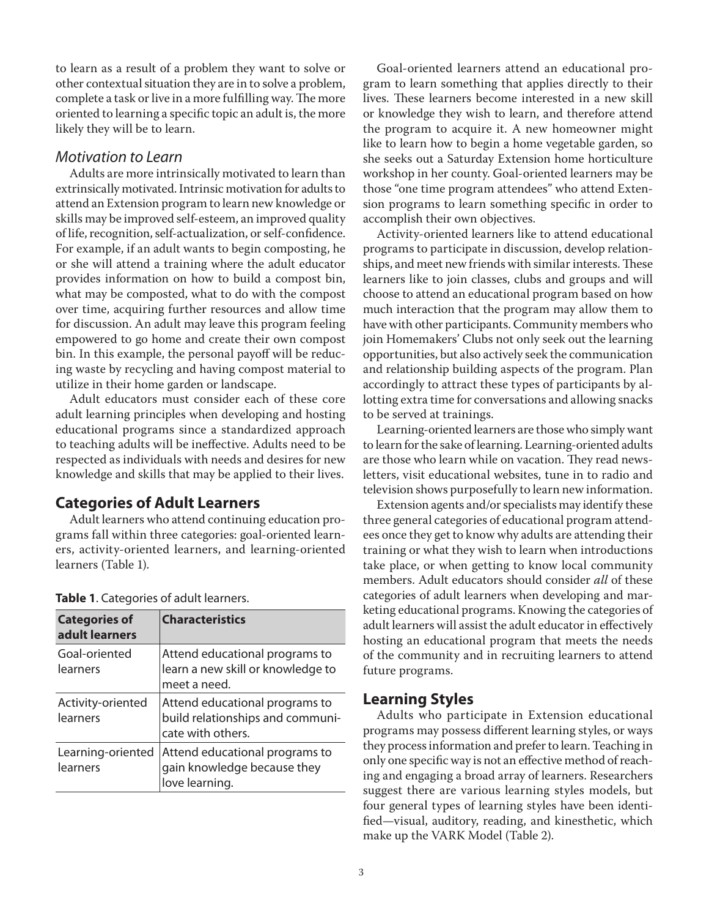to learn as a result of a problem they want to solve or other contextual situation they are in to solve a problem, complete a task or live in a more fulfilling way. The more oriented to learning a specific topic an adult is, the more likely they will be to learn.

#### *Motivation to Learn*

Adults are more intrinsically motivated to learn than extrinsically motivated. Intrinsic motivation for adults to attend an Extension program to learn new knowledge or skills may be improved self-esteem, an improved quality of life, recognition, self-actualization, or self-confidence. For example, if an adult wants to begin composting, he or she will attend a training where the adult educator provides information on how to build a compost bin, what may be composted, what to do with the compost over time, acquiring further resources and allow time for discussion. An adult may leave this program feeling empowered to go home and create their own compost bin. In this example, the personal payoff will be reducing waste by recycling and having compost material to utilize in their home garden or landscape.

Adult educators must consider each of these core adult learning principles when developing and hosting educational programs since a standardized approach to teaching adults will be ineffective. Adults need to be respected as individuals with needs and desires for new knowledge and skills that may be applied to their lives.

#### **Categories of Adult Learners**

Adult learners who attend continuing education programs fall within three categories: goal-oriented learners, activity-oriented learners, and learning-oriented learners (Table 1).

| <b>Categories of</b><br>adult learners | <b>Characteristics</b>                                                                  |
|----------------------------------------|-----------------------------------------------------------------------------------------|
| Goal-oriented<br>learners              | Attend educational programs to<br>learn a new skill or knowledge to<br>meet a need.     |
| Activity-oriented<br>learners          | Attend educational programs to<br>build relationships and communi-<br>cate with others. |
| Learning-oriented<br>learners          | Attend educational programs to<br>gain knowledge because they<br>love learning.         |

|  |  |  |  |  |  |  | Table 1. Categories of adult learners. |  |
|--|--|--|--|--|--|--|----------------------------------------|--|
|--|--|--|--|--|--|--|----------------------------------------|--|

Goal-oriented learners attend an educational program to learn something that applies directly to their lives. These learners become interested in a new skill or knowledge they wish to learn, and therefore attend the program to acquire it. A new homeowner might like to learn how to begin a home vegetable garden, so she seeks out a Saturday Extension home horticulture workshop in her county. Goal-oriented learners may be those "one time program attendees" who attend Extension programs to learn something specific in order to accomplish their own objectives.

Activity-oriented learners like to attend educational programs to participate in discussion, develop relationships, and meet new friends with similar interests. These learners like to join classes, clubs and groups and will choose to attend an educational program based on how much interaction that the program may allow them to have with other participants. Community members who join Homemakers' Clubs not only seek out the learning opportunities, but also actively seek the communication and relationship building aspects of the program. Plan accordingly to attract these types of participants by allotting extra time for conversations and allowing snacks to be served at trainings.

Learning-oriented learners are those who simply want to learn for the sake of learning. Learning-oriented adults are those who learn while on vacation. They read newsletters, visit educational websites, tune in to radio and television shows purposefully to learn new information.

Extension agents and/or specialists may identify these three general categories of educational program attendees once they get to know why adults are attending their training or what they wish to learn when introductions take place, or when getting to know local community members. Adult educators should consider *all* of these categories of adult learners when developing and marketing educational programs. Knowing the categories of adult learners will assist the adult educator in effectively hosting an educational program that meets the needs of the community and in recruiting learners to attend future programs.

#### **Learning Styles**

Adults who participate in Extension educational programs may possess different learning styles, or ways they process information and prefer to learn. Teaching in only one specific way is not an effective method of reaching and engaging a broad array of learners. Researchers suggest there are various learning styles models, but four general types of learning styles have been identified—visual, auditory, reading, and kinesthetic, which make up the VARK Model (Table 2).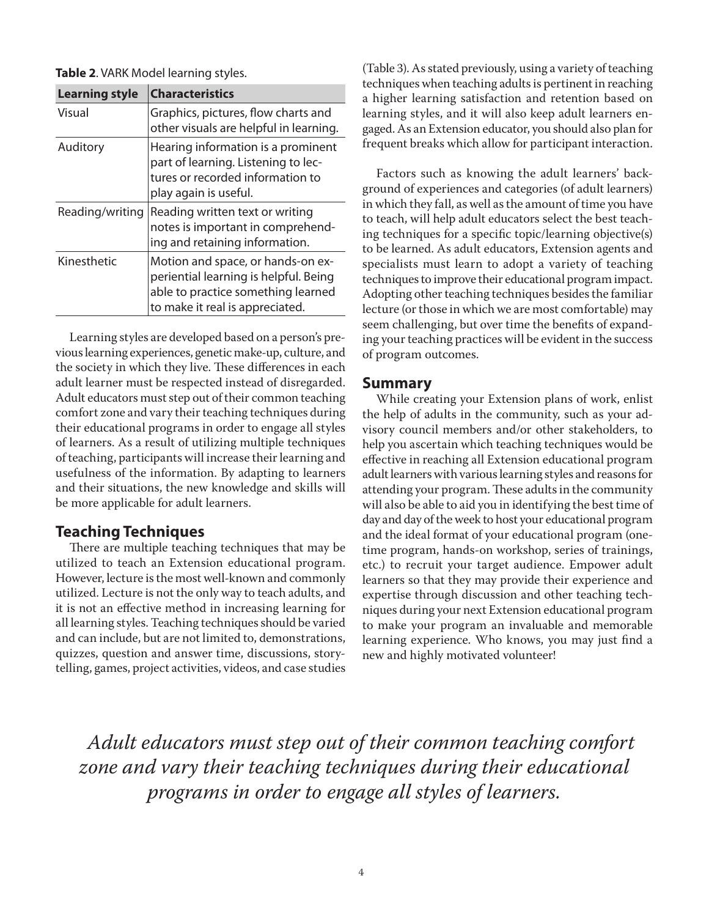**Table 2**. VARK Model learning styles.

| <b>Learning style</b> | <b>Characteristics</b>                                                                                                                              |
|-----------------------|-----------------------------------------------------------------------------------------------------------------------------------------------------|
| Visual                | Graphics, pictures, flow charts and<br>other visuals are helpful in learning.                                                                       |
| Auditory              | Hearing information is a prominent<br>part of learning. Listening to lec-<br>tures or recorded information to<br>play again is useful.              |
| Reading/writing       | Reading written text or writing<br>notes is important in comprehend-<br>ing and retaining information.                                              |
| Kinesthetic           | Motion and space, or hands-on ex-<br>periential learning is helpful. Being<br>able to practice something learned<br>to make it real is appreciated. |

Learning styles are developed based on a person's previous learning experiences, genetic make-up, culture, and the society in which they live. These differences in each adult learner must be respected instead of disregarded. Adult educators must step out of their common teaching comfort zone and vary their teaching techniques during their educational programs in order to engage all styles of learners. As a result of utilizing multiple techniques of teaching, participants will increase their learning and usefulness of the information. By adapting to learners and their situations, the new knowledge and skills will be more applicable for adult learners.

#### **Teaching Techniques**

There are multiple teaching techniques that may be utilized to teach an Extension educational program. However, lecture is the most well-known and commonly utilized. Lecture is not the only way to teach adults, and it is not an effective method in increasing learning for all learning styles. Teaching techniques should be varied and can include, but are not limited to, demonstrations, quizzes, question and answer time, discussions, storytelling, games, project activities, videos, and case studies

(Table 3). As stated previously, using a variety of teaching techniques when teaching adults is pertinent in reaching a higher learning satisfaction and retention based on learning styles, and it will also keep adult learners engaged. As an Extension educator, you should also plan for frequent breaks which allow for participant interaction.

Factors such as knowing the adult learners' background of experiences and categories (of adult learners) in which they fall, as well as the amount of time you have to teach, will help adult educators select the best teaching techniques for a specific topic/learning objective(s) to be learned. As adult educators, Extension agents and specialists must learn to adopt a variety of teaching techniques to improve their educational program impact. Adopting other teaching techniques besides the familiar lecture (or those in which we are most comfortable) may seem challenging, but over time the benefits of expanding your teaching practices will be evident in the success of program outcomes.

#### **Summary**

While creating your Extension plans of work, enlist the help of adults in the community, such as your advisory council members and/or other stakeholders, to help you ascertain which teaching techniques would be effective in reaching all Extension educational program adult learners with various learning styles and reasons for attending your program. These adults in the community will also be able to aid you in identifying the best time of day and day of the week to host your educational program and the ideal format of your educational program (onetime program, hands-on workshop, series of trainings, etc.) to recruit your target audience. Empower adult learners so that they may provide their experience and expertise through discussion and other teaching techniques during your next Extension educational program to make your program an invaluable and memorable learning experience. Who knows, you may just find a new and highly motivated volunteer!

*Adult educators must step out of their common teaching comfort zone and vary their teaching techniques during their educational programs in order to engage all styles of learners.*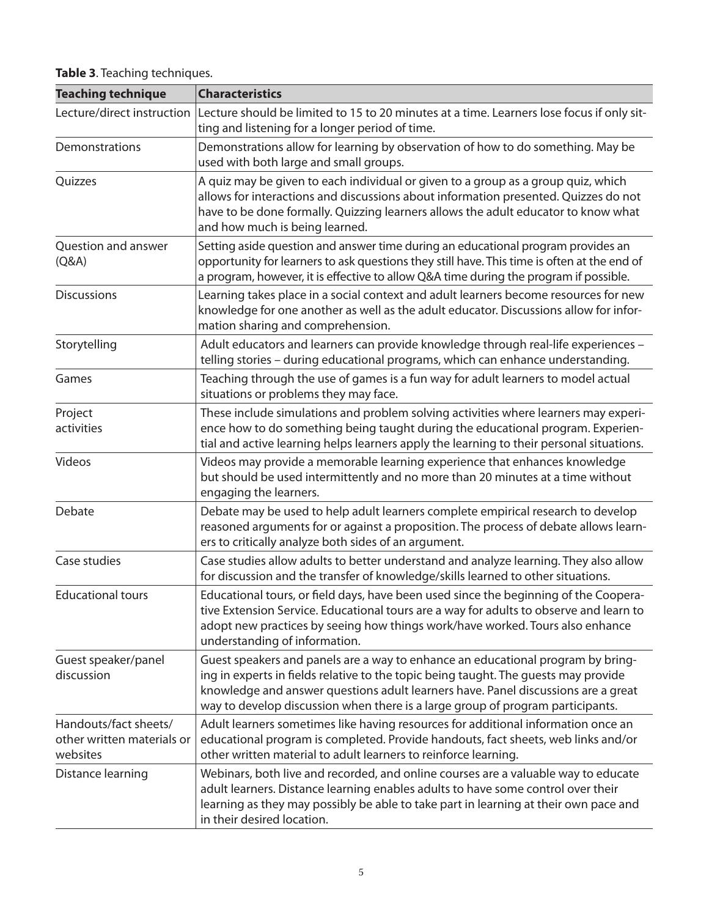| <b>Teaching technique</b>                                       | <b>Characteristics</b>                                                                                                                                                                                                                                                                                                                        |
|-----------------------------------------------------------------|-----------------------------------------------------------------------------------------------------------------------------------------------------------------------------------------------------------------------------------------------------------------------------------------------------------------------------------------------|
| Lecture/direct instruction                                      | Lecture should be limited to 15 to 20 minutes at a time. Learners lose focus if only sit-<br>ting and listening for a longer period of time.                                                                                                                                                                                                  |
| Demonstrations                                                  | Demonstrations allow for learning by observation of how to do something. May be<br>used with both large and small groups.                                                                                                                                                                                                                     |
| Quizzes                                                         | A quiz may be given to each individual or given to a group as a group quiz, which<br>allows for interactions and discussions about information presented. Quizzes do not<br>have to be done formally. Quizzing learners allows the adult educator to know what<br>and how much is being learned.                                              |
| Question and answer<br>(Q&A)                                    | Setting aside question and answer time during an educational program provides an<br>opportunity for learners to ask questions they still have. This time is often at the end of<br>a program, however, it is effective to allow Q&A time during the program if possible.                                                                      |
| <b>Discussions</b>                                              | Learning takes place in a social context and adult learners become resources for new<br>knowledge for one another as well as the adult educator. Discussions allow for infor-<br>mation sharing and comprehension.                                                                                                                            |
| Storytelling                                                    | Adult educators and learners can provide knowledge through real-life experiences -<br>telling stories - during educational programs, which can enhance understanding.                                                                                                                                                                         |
| Games                                                           | Teaching through the use of games is a fun way for adult learners to model actual<br>situations or problems they may face.                                                                                                                                                                                                                    |
| Project<br>activities                                           | These include simulations and problem solving activities where learners may experi-<br>ence how to do something being taught during the educational program. Experien-<br>tial and active learning helps learners apply the learning to their personal situations.                                                                            |
| Videos                                                          | Videos may provide a memorable learning experience that enhances knowledge<br>but should be used intermittently and no more than 20 minutes at a time without<br>engaging the learners.                                                                                                                                                       |
| Debate                                                          | Debate may be used to help adult learners complete empirical research to develop<br>reasoned arguments for or against a proposition. The process of debate allows learn-<br>ers to critically analyze both sides of an argument.                                                                                                              |
| Case studies                                                    | Case studies allow adults to better understand and analyze learning. They also allow<br>for discussion and the transfer of knowledge/skills learned to other situations.                                                                                                                                                                      |
| <b>Educational tours</b>                                        | Educational tours, or field days, have been used since the beginning of the Coopera-<br>tive Extension Service. Educational tours are a way for adults to observe and learn to<br>adopt new practices by seeing how things work/have worked. Tours also enhance<br>understanding of information.                                              |
| Guest speaker/panel<br>discussion                               | Guest speakers and panels are a way to enhance an educational program by bring-<br>ing in experts in fields relative to the topic being taught. The guests may provide<br>knowledge and answer questions adult learners have. Panel discussions are a great<br>way to develop discussion when there is a large group of program participants. |
| Handouts/fact sheets/<br>other written materials or<br>websites | Adult learners sometimes like having resources for additional information once an<br>educational program is completed. Provide handouts, fact sheets, web links and/or<br>other written material to adult learners to reinforce learning.                                                                                                     |
| Distance learning                                               | Webinars, both live and recorded, and online courses are a valuable way to educate<br>adult learners. Distance learning enables adults to have some control over their<br>learning as they may possibly be able to take part in learning at their own pace and<br>in their desired location.                                                  |

**Table 3**. Teaching techniques.